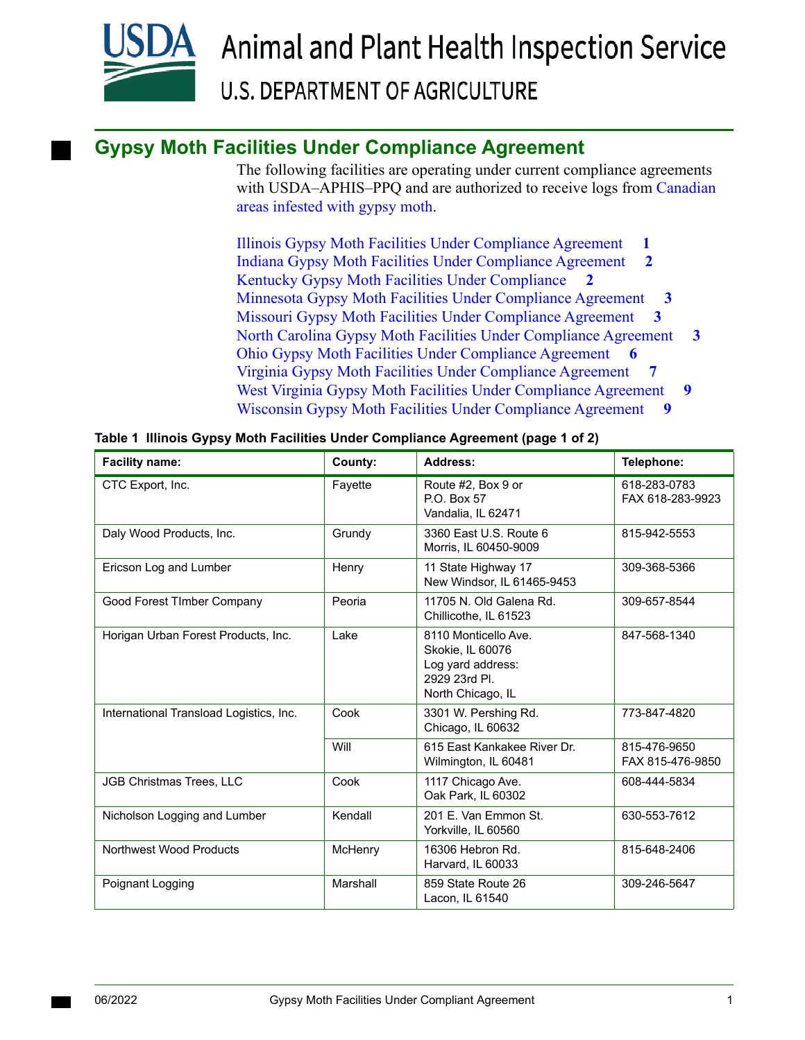

# **Gypsy Moth Facilities Under Compliance Agreement**

The following facilities are operating under current compliance agreements with USDA–APHIS–PPQ and are authorized to receive logs from [Canadian](http://www.inspection.gc.ca/plants/plant-pests-invasive-species/directives/forestry/d-98-09/appendix-1/eng/1343832991660/1343834043533)  [areas infested with gypsy moth](http://www.inspection.gc.ca/plants/plant-pests-invasive-species/directives/forestry/d-98-09/appendix-1/eng/1343832991660/1343834043533).

[Illinois Gypsy Moth Facilities Under Compliance Agreement](#page-0-0) **1** [Indiana Gypsy Moth Facilities Under Compliance Agreement](#page-1-0) **2** [Kentucky Gypsy Moth Facilities Under Compliance](#page-1-1) **2** [Minnesota Gypsy Moth Facilities Under Compliance Agreement](#page-2-0) **3** [Missouri Gypsy Moth Facilities Under Compliance Agreement](#page-2-1) **3** [North Carolina Gypsy Moth Facilities Under Compliance Agreement](#page-2-2)  [Ohio Gypsy Moth Facilities Under Compliance Agreement](#page-5-0) **6** [Virginia Gypsy Moth Facilities Under Compliance Agreement](#page-6-0) **7** [West Virginia Gypsy Moth Facilities Under Compliance Agreement](#page-8-0) **9** [Wisconsin Gypsy Moth Facilities Under Compliance Agreement](#page-8-1) **9 3**

| <b>Facility name:</b>                   | County:  | Address:                                                                                            | Telephone:                       |
|-----------------------------------------|----------|-----------------------------------------------------------------------------------------------------|----------------------------------|
| CTC Export, Inc.                        | Fayette  | Route #2, Box 9 or<br>P.O. Box 57<br>Vandalia, IL 62471                                             | 618-283-0783<br>FAX 618-283-9923 |
| Daly Wood Products, Inc.                | Grundy   | 3360 East U.S. Route 6<br>Morris. IL 60450-9009                                                     | 815-942-5553                     |
| Ericson Log and Lumber                  | Henry    | 11 State Highway 17<br>New Windsor, IL 61465-9453                                                   | 309-368-5366                     |
| Good Forest TImber Company              | Peoria   | 11705 N. Old Galena Rd.<br>Chillicothe, IL 61523                                                    | 309-657-8544                     |
| Horigan Urban Forest Products, Inc.     | Lake     | 8110 Monticello Ave.<br>Skokie, IL 60076<br>Log yard address:<br>2929 23rd Pl.<br>North Chicago, IL | 847-568-1340                     |
| International Transload Logistics, Inc. | Cook     | 3301 W. Pershing Rd.<br>Chicago, IL 60632                                                           | 773-847-4820                     |
|                                         | Will     | 615 East Kankakee River Dr.<br>Wilmington, IL 60481                                                 | 815-476-9650<br>FAX 815-476-9850 |
| JGB Christmas Trees, LLC                | Cook     | 1117 Chicago Ave.<br>Oak Park, IL 60302                                                             | 608-444-5834                     |
| Nicholson Logging and Lumber            | Kendall  | 201 E. Van Emmon St.<br>Yorkville, IL 60560                                                         | 630-553-7612                     |
| Northwest Wood Products                 | McHenry  | 16306 Hebron Rd.<br>Harvard, IL 60033                                                               | 815-648-2406                     |
| Poignant Logging                        | Marshall | 859 State Route 26<br>Lacon, IL 61540                                                               | 309-246-5647                     |

<span id="page-0-0"></span>**Table 1 Illinois Gypsy Moth Facilities Under Compliance Agreement (page 1 of 2)**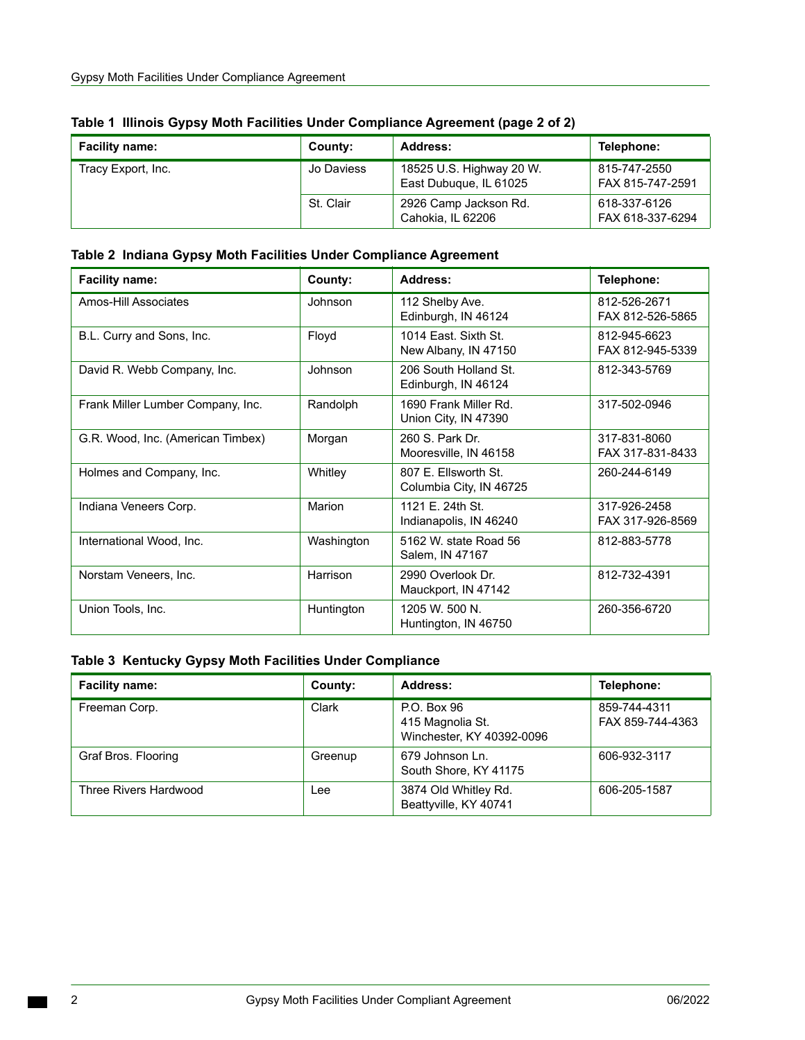| <b>Facility name:</b> | County:    | Address:                                           | Telephone:                       |
|-----------------------|------------|----------------------------------------------------|----------------------------------|
| Tracy Export, Inc.    | Jo Daviess | 18525 U.S. Highway 20 W.<br>East Dubuque, IL 61025 | 815-747-2550<br>FAX 815-747-2591 |
|                       | St. Clair  | 2926 Camp Jackson Rd.<br>Cahokia. IL 62206         | 618-337-6126<br>FAX 618-337-6294 |

|  |  | Table 1 Illinois Gypsy Moth Facilities Under Compliance Agreement (page 2 of 2) |
|--|--|---------------------------------------------------------------------------------|
|  |  |                                                                                 |

<span id="page-1-0"></span>

|  |  |  | Table 2 Indiana Gypsy Moth Facilities Under Compliance Agreement |  |
|--|--|--|------------------------------------------------------------------|--|
|--|--|--|------------------------------------------------------------------|--|

| <b>Facility name:</b>             | County:    | Address:                                        | Telephone:                       |
|-----------------------------------|------------|-------------------------------------------------|----------------------------------|
| Amos-Hill Associates              | Johnson    | 112 Shelby Ave.<br>Edinburgh, IN 46124          | 812-526-2671<br>FAX 812-526-5865 |
| B.L. Curry and Sons, Inc.         | Floyd      | 1014 Fast, Sixth St.<br>New Albany, IN 47150    | 812-945-6623<br>FAX 812-945-5339 |
| David R. Webb Company, Inc.       | Johnson    | 206 South Holland St.<br>Edinburgh, IN 46124    | 812-343-5769                     |
| Frank Miller Lumber Company, Inc. | Randolph   | 1690 Frank Miller Rd.<br>Union City, IN 47390   | 317-502-0946                     |
| G.R. Wood, Inc. (American Timbex) | Morgan     | 260 S. Park Dr.<br>Mooresville, IN 46158        | 317-831-8060<br>FAX 317-831-8433 |
| Holmes and Company, Inc.          | Whitley    | 807 E. Ellsworth St.<br>Columbia City, IN 46725 | 260-244-6149                     |
| Indiana Veneers Corp.             | Marion     | 1121 E. 24th St.<br>Indianapolis, IN 46240      | 317-926-2458<br>FAX 317-926-8569 |
| International Wood, Inc.          | Washington | 5162 W, state Road 56<br>Salem, IN 47167        | 812-883-5778                     |
| Norstam Veneers, Inc.             | Harrison   | 2990 Overlook Dr.<br>Mauckport, IN 47142        | 812-732-4391                     |
| Union Tools, Inc.                 | Huntington | 1205 W. 500 N.<br>Huntington, IN 46750          | 260-356-6720                     |

## <span id="page-1-1"></span>**Table 3 Kentucky Gypsy Moth Facilities Under Compliance**

| <b>Facility name:</b> | County: | Address:                                                     | Telephone:                       |
|-----------------------|---------|--------------------------------------------------------------|----------------------------------|
| Freeman Corp.         | Clark   | P.O. Box 96<br>415 Magnolia St.<br>Winchester, KY 40392-0096 | 859-744-4311<br>FAX 859-744-4363 |
| Graf Bros. Flooring   | Greenup | 679 Johnson Ln.<br>South Shore, KY 41175                     | 606-932-3117                     |
| Three Rivers Hardwood | Lee     | 3874 Old Whitley Rd.<br>Beattyville, KY 40741                | 606-205-1587                     |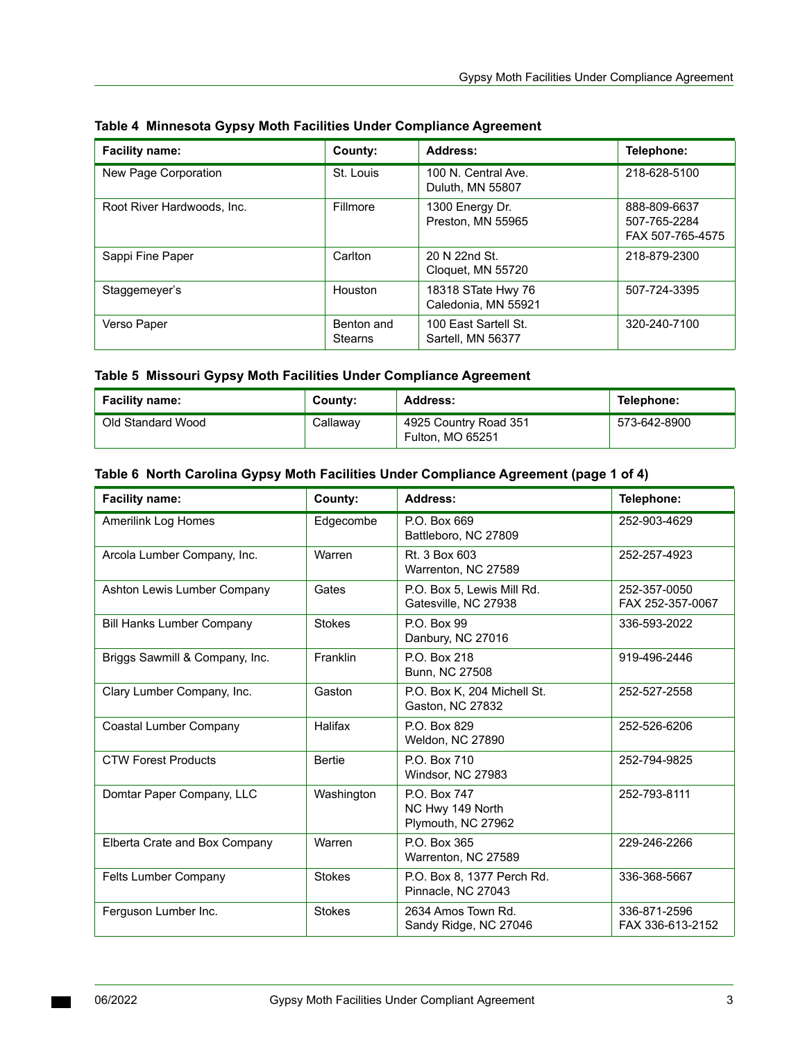| <b>Facility name:</b>      | County:                      | Address:                                  | Telephone:                                       |
|----------------------------|------------------------------|-------------------------------------------|--------------------------------------------------|
| New Page Corporation       | St. Louis                    | 100 N. Central Ave.<br>Duluth, MN 55807   | 218-628-5100                                     |
| Root River Hardwoods, Inc. | Fillmore                     | 1300 Energy Dr.<br>Preston, MN 55965      | 888-809-6637<br>507-765-2284<br>FAX 507-765-4575 |
| Sappi Fine Paper           | Carlton                      | 20 N 22nd St.<br>Cloquet, MN 55720        | 218-879-2300                                     |
| Staggemeyer's              | Houston                      | 18318 STate Hwy 76<br>Caledonia, MN 55921 | 507-724-3395                                     |
| Verso Paper                | Benton and<br><b>Stearns</b> | 100 East Sartell St.<br>Sartell, MN 56377 | 320-240-7100                                     |

#### <span id="page-2-0"></span>**Table 4 Minnesota Gypsy Moth Facilities Under Compliance Agreement**

## <span id="page-2-1"></span>**Table 5 Missouri Gypsy Moth Facilities Under Compliance Agreement**

| <b>Facility name:</b> | County:  | Address:                                  | Telephone:   |
|-----------------------|----------|-------------------------------------------|--------------|
| Old Standard Wood     | Callaway | 4925 Country Road 351<br>Fulton, MO 65251 | 573-642-8900 |

#### <span id="page-2-2"></span> **Table 6 North Carolina Gypsy Moth Facilities Under Compliance Agreement (page 1 of 4)**

| <b>Facility name:</b>            | County:       | Address:                                               | Telephone:                       |
|----------------------------------|---------------|--------------------------------------------------------|----------------------------------|
| <b>Amerilink Log Homes</b>       | Edgecombe     | P.O. Box 669<br>Battleboro, NC 27809                   | 252-903-4629                     |
| Arcola Lumber Company, Inc.      | Warren        | Rt. 3 Box 603<br>Warrenton, NC 27589                   | 252-257-4923                     |
| Ashton Lewis Lumber Company      | Gates         | P.O. Box 5, Lewis Mill Rd.<br>Gatesville, NC 27938     | 252-357-0050<br>FAX 252-357-0067 |
| <b>Bill Hanks Lumber Company</b> | <b>Stokes</b> | P.O. Box 99<br>Danbury, NC 27016                       | 336-593-2022                     |
| Briggs Sawmill & Company, Inc.   | Franklin      | P.O. Box 218<br>Bunn, NC 27508                         | 919-496-2446                     |
| Clary Lumber Company, Inc.       | Gaston        | P.O. Box K, 204 Michell St.<br>Gaston, NC 27832        | 252-527-2558                     |
| <b>Coastal Lumber Company</b>    | Halifax       | P.O. Box 829<br>Weldon, NC 27890                       | 252-526-6206                     |
| <b>CTW Forest Products</b>       | <b>Bertie</b> | P.O. Box 710<br>Windsor, NC 27983                      | 252-794-9825                     |
| Domtar Paper Company, LLC        | Washington    | P.O. Box 747<br>NC Hwy 149 North<br>Plymouth, NC 27962 | 252-793-8111                     |
| Elberta Crate and Box Company    | Warren        | P.O. Box 365<br>Warrenton, NC 27589                    | 229-246-2266                     |
| Felts Lumber Company             | <b>Stokes</b> | P.O. Box 8, 1377 Perch Rd.<br>Pinnacle, NC 27043       | 336-368-5667                     |
| Ferguson Lumber Inc.             | <b>Stokes</b> | 2634 Amos Town Rd.<br>Sandy Ridge, NC 27046            | 336-871-2596<br>FAX 336-613-2152 |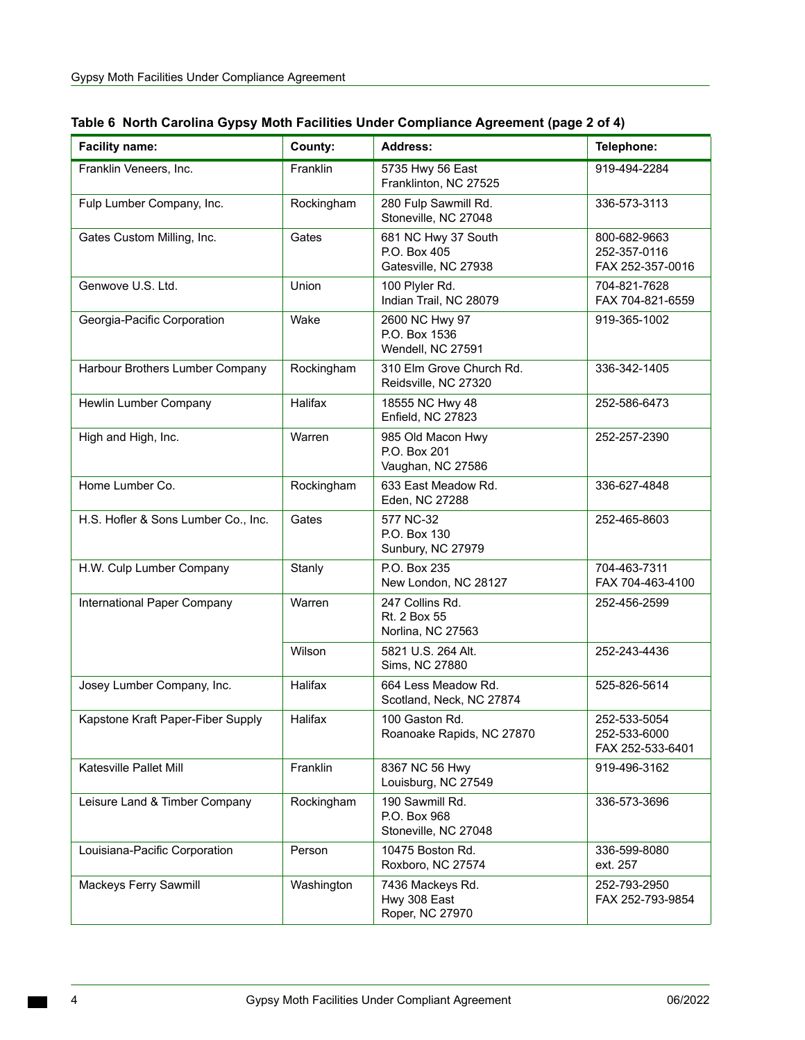| <b>Facility name:</b>               | County:    | <b>Address:</b>                                             | Telephone:                                       |
|-------------------------------------|------------|-------------------------------------------------------------|--------------------------------------------------|
| Franklin Veneers, Inc.              | Franklin   | 5735 Hwy 56 East<br>Franklinton, NC 27525                   | 919-494-2284                                     |
| Fulp Lumber Company, Inc.           | Rockingham | 280 Fulp Sawmill Rd.<br>Stoneville, NC 27048                | 336-573-3113                                     |
| Gates Custom Milling, Inc.          | Gates      | 681 NC Hwy 37 South<br>P.O. Box 405<br>Gatesville, NC 27938 | 800-682-9663<br>252-357-0116<br>FAX 252-357-0016 |
| Genwove U.S. Ltd.                   | Union      | 100 Plyler Rd.<br>Indian Trail, NC 28079                    | 704-821-7628<br>FAX 704-821-6559                 |
| Georgia-Pacific Corporation         | Wake       | 2600 NC Hwy 97<br>P.O. Box 1536<br>Wendell, NC 27591        | 919-365-1002                                     |
| Harbour Brothers Lumber Company     | Rockingham | 310 Elm Grove Church Rd.<br>Reidsville, NC 27320            | 336-342-1405                                     |
| Hewlin Lumber Company               | Halifax    | 18555 NC Hwy 48<br>Enfield, NC 27823                        | 252-586-6473                                     |
| High and High, Inc.                 | Warren     | 985 Old Macon Hwy<br>P.O. Box 201<br>Vaughan, NC 27586      | 252-257-2390                                     |
| Home Lumber Co.                     | Rockingham | 633 East Meadow Rd.<br>Eden, NC 27288                       | 336-627-4848                                     |
| H.S. Hofler & Sons Lumber Co., Inc. | Gates      | 577 NC-32<br>P.O. Box 130<br>Sunbury, NC 27979              | 252-465-8603                                     |
| H.W. Culp Lumber Company            | Stanly     | P.O. Box 235<br>New London, NC 28127                        | 704-463-7311<br>FAX 704-463-4100                 |
| International Paper Company         | Warren     | 247 Collins Rd.<br>Rt. 2 Box 55<br>Norlina, NC 27563        | 252-456-2599                                     |
|                                     | Wilson     | 5821 U.S. 264 Alt.<br>Sims, NC 27880                        | 252-243-4436                                     |
| Josey Lumber Company, Inc.          | Halifax    | 664 Less Meadow Rd.<br>Scotland, Neck, NC 27874             | 525-826-5614                                     |
| Kapstone Kraft Paper-Fiber Supply   | Halifax    | 100 Gaston Rd.<br>Roanoake Rapids, NC 27870                 | 252-533-5054<br>252-533-6000<br>FAX 252-533-6401 |
| Katesville Pallet Mill              | Franklin   | 8367 NC 56 Hwy<br>Louisburg, NC 27549                       | 919-496-3162                                     |
| Leisure Land & Timber Company       | Rockingham | 190 Sawmill Rd.<br>P.O. Box 968<br>Stoneville, NC 27048     | 336-573-3696                                     |
| Louisiana-Pacific Corporation       | Person     | 10475 Boston Rd.<br>Roxboro, NC 27574                       | 336-599-8080<br>ext. 257                         |
| Mackeys Ferry Sawmill               | Washington | 7436 Mackeys Rd.<br>Hwy 308 East<br>Roper, NC 27970         | 252-793-2950<br>FAX 252-793-9854                 |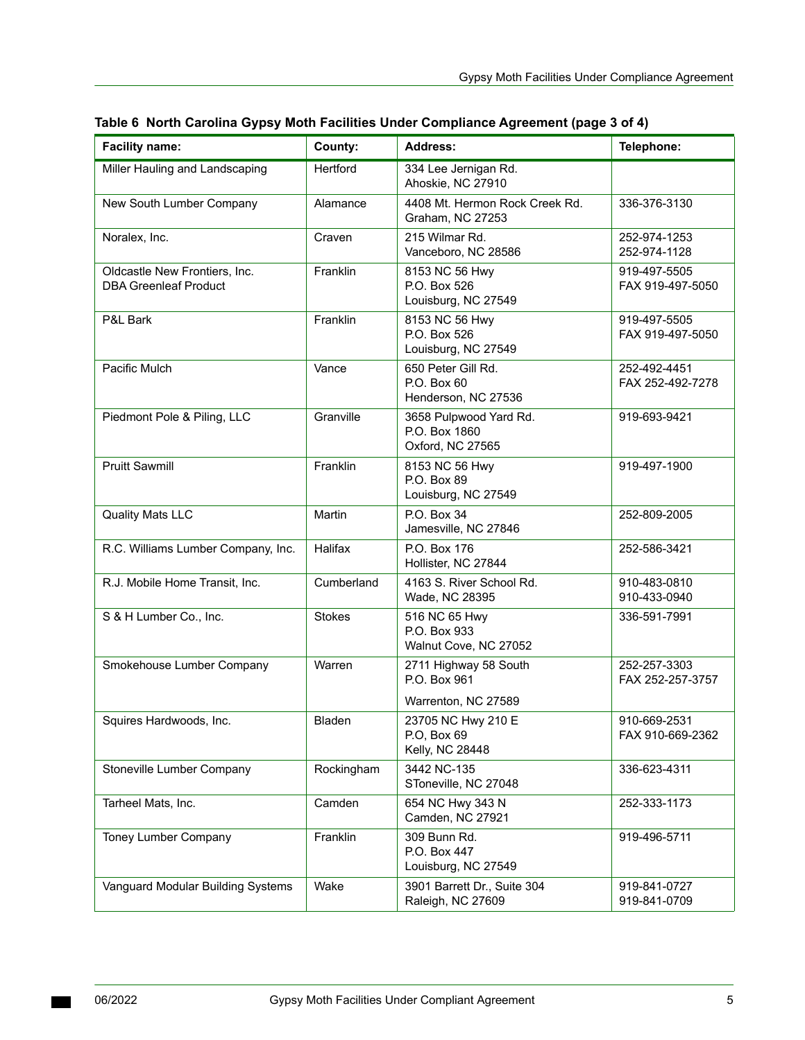| <b>Facility name:</b>                                         | County:       | <b>Address:</b>                                             | Telephone:                       |
|---------------------------------------------------------------|---------------|-------------------------------------------------------------|----------------------------------|
| Miller Hauling and Landscaping                                | Hertford      | 334 Lee Jernigan Rd.<br>Ahoskie, NC 27910                   |                                  |
| New South Lumber Company                                      | Alamance      | 4408 Mt. Hermon Rock Creek Rd.<br>Graham, NC 27253          | 336-376-3130                     |
| Noralex, Inc.                                                 | Craven        | 215 Wilmar Rd.<br>Vanceboro, NC 28586                       | 252-974-1253<br>252-974-1128     |
| Oldcastle New Frontiers, Inc.<br><b>DBA Greenleaf Product</b> | Franklin      | 8153 NC 56 Hwy<br>P.O. Box 526<br>Louisburg, NC 27549       | 919-497-5505<br>FAX 919-497-5050 |
| P&L Bark                                                      | Franklin      | 8153 NC 56 Hwy<br>P.O. Box 526<br>Louisburg, NC 27549       | 919-497-5505<br>FAX 919-497-5050 |
| Pacific Mulch                                                 | Vance         | 650 Peter Gill Rd.<br>P.O. Box 60<br>Henderson, NC 27536    | 252-492-4451<br>FAX 252-492-7278 |
| Piedmont Pole & Piling, LLC                                   | Granville     | 3658 Pulpwood Yard Rd.<br>P.O. Box 1860<br>Oxford, NC 27565 | 919-693-9421                     |
| <b>Pruitt Sawmill</b>                                         | Franklin      | 8153 NC 56 Hwy<br>P.O. Box 89<br>Louisburg, NC 27549        | 919-497-1900                     |
| <b>Quality Mats LLC</b>                                       | Martin        | P.O. Box 34<br>Jamesville, NC 27846                         | 252-809-2005                     |
| R.C. Williams Lumber Company, Inc.                            | Halifax       | P.O. Box 176<br>Hollister, NC 27844                         | 252-586-3421                     |
| R.J. Mobile Home Transit, Inc.                                | Cumberland    | 4163 S. River School Rd.<br>Wade, NC 28395                  | 910-483-0810<br>910-433-0940     |
| S & H Lumber Co., Inc.                                        | <b>Stokes</b> | 516 NC 65 Hwy<br>P.O. Box 933<br>Walnut Cove, NC 27052      | 336-591-7991                     |
| Smokehouse Lumber Company                                     | Warren        | 2711 Highway 58 South<br>P.O. Box 961                       | 252-257-3303<br>FAX 252-257-3757 |
|                                                               |               | Warrenton, NC 27589                                         |                                  |
| Squires Hardwoods, Inc.                                       | Bladen        | 23705 NC Hwy 210 E<br>P.O, Box 69<br>Kelly, NC 28448        | 910-669-2531<br>FAX 910-669-2362 |
| Stoneville Lumber Company                                     | Rockingham    | 3442 NC-135<br>SToneville, NC 27048                         | 336-623-4311                     |
| Tarheel Mats, Inc.                                            | Camden        | 654 NC Hwy 343 N<br>Camden, NC 27921                        | 252-333-1173                     |
| Toney Lumber Company                                          | Franklin      | 309 Bunn Rd.<br>P.O. Box 447<br>Louisburg, NC 27549         | 919-496-5711                     |
| Vanguard Modular Building Systems                             | Wake          | 3901 Barrett Dr., Suite 304<br>Raleigh, NC 27609            | 919-841-0727<br>919-841-0709     |

#### **Table 6 North Carolina Gypsy Moth Facilities Under Compliance Agreement (page 3 of 4)**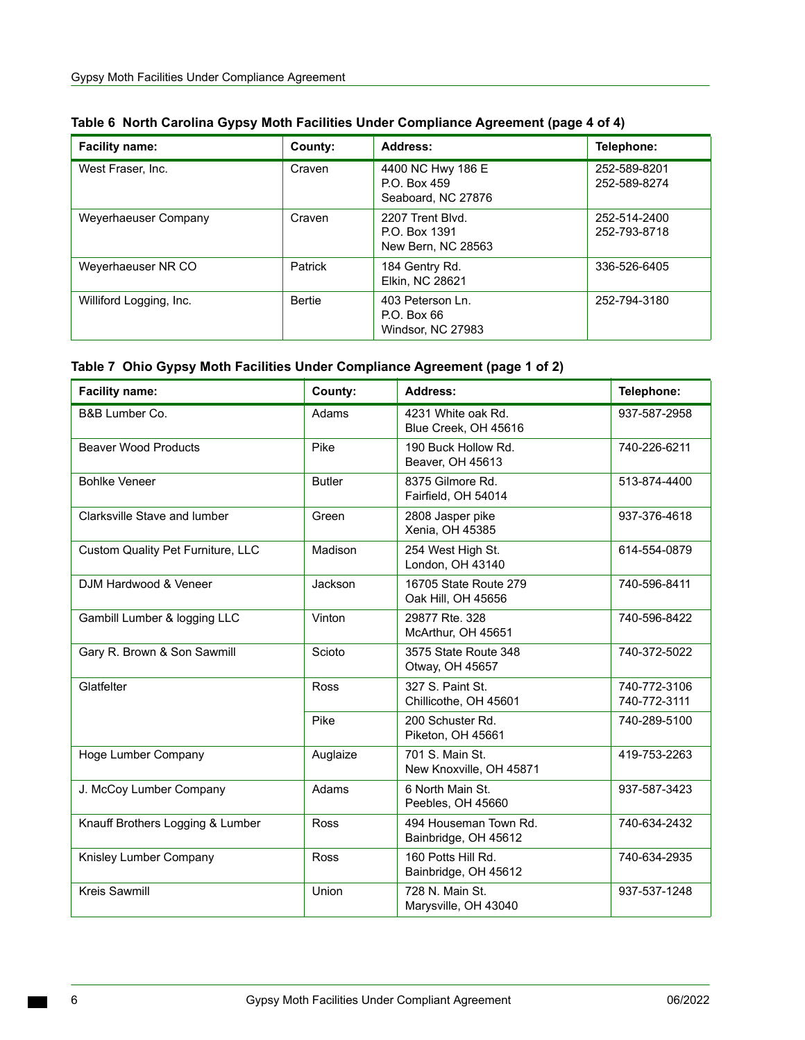| <b>Facility name:</b>   | County:        | Address:                                                | Telephone:                   |
|-------------------------|----------------|---------------------------------------------------------|------------------------------|
| West Fraser, Inc.       | Craven         | 4400 NC Hwy 186 E<br>P.O. Box 459<br>Seaboard, NC 27876 | 252-589-8201<br>252-589-8274 |
| Weyerhaeuser Company    | Craven         | 2207 Trent Blvd.<br>P.O. Box 1391<br>New Bern, NC 28563 | 252-514-2400<br>252-793-8718 |
| Weyerhaeuser NR CO      | <b>Patrick</b> | 184 Gentry Rd.<br>Elkin, NC 28621                       | 336-526-6405                 |
| Williford Logging, Inc. | Bertie         | 403 Peterson Ln.<br>P.O. Box 66<br>Windsor, NC 27983    | 252-794-3180                 |

<span id="page-5-0"></span>

|  |  |  | Table 7 Ohio Gypsy Moth Facilities Under Compliance Agreement (page 1 of 2) |
|--|--|--|-----------------------------------------------------------------------------|
|--|--|--|-----------------------------------------------------------------------------|

| <b>Facility name:</b>                    | County:       | <b>Address:</b>                               | Telephone:                   |
|------------------------------------------|---------------|-----------------------------------------------|------------------------------|
| B&B Lumber Co.                           | Adams         | 4231 White oak Rd.<br>Blue Creek, OH 45616    | 937-587-2958                 |
| <b>Beaver Wood Products</b>              | Pike          | 190 Buck Hollow Rd.<br>Beaver, OH 45613       | 740-226-6211                 |
| <b>Bohlke Veneer</b>                     | <b>Butler</b> | 8375 Gilmore Rd.<br>Fairfield, OH 54014       | 513-874-4400                 |
| Clarksville Stave and lumber             | Green         | 2808 Jasper pike<br>Xenia, OH 45385           | 937-376-4618                 |
| <b>Custom Quality Pet Furniture, LLC</b> | Madison       | 254 West High St.<br>London, OH 43140         | 614-554-0879                 |
| DJM Hardwood & Veneer                    | Jackson       | 16705 State Route 279<br>Oak Hill, OH 45656   | 740-596-8411                 |
| Gambill Lumber & logging LLC             | Vinton        | 29877 Rte. 328<br>McArthur, OH 45651          | 740-596-8422                 |
| Gary R. Brown & Son Sawmill              | Scioto        | 3575 State Route 348<br>Otway, OH 45657       | 740-372-5022                 |
| Glatfelter                               | Ross          | 327 S. Paint St.<br>Chillicothe, OH 45601     | 740-772-3106<br>740-772-3111 |
|                                          | Pike          | 200 Schuster Rd.<br>Piketon, OH 45661         | 740-289-5100                 |
| Hoge Lumber Company                      | Auglaize      | 701 S. Main St.<br>New Knoxville, OH 45871    | 419-753-2263                 |
| J. McCoy Lumber Company                  | Adams         | 6 North Main St.<br>Peebles, OH 45660         | 937-587-3423                 |
| Knauff Brothers Logging & Lumber         | Ross          | 494 Houseman Town Rd.<br>Bainbridge, OH 45612 | 740-634-2432                 |
| Knisley Lumber Company                   | <b>Ross</b>   | 160 Potts Hill Rd.<br>Bainbridge, OH 45612    | 740-634-2935                 |
| <b>Kreis Sawmill</b>                     | Union         | 728 N. Main St.<br>Marysville, OH 43040       | 937-537-1248                 |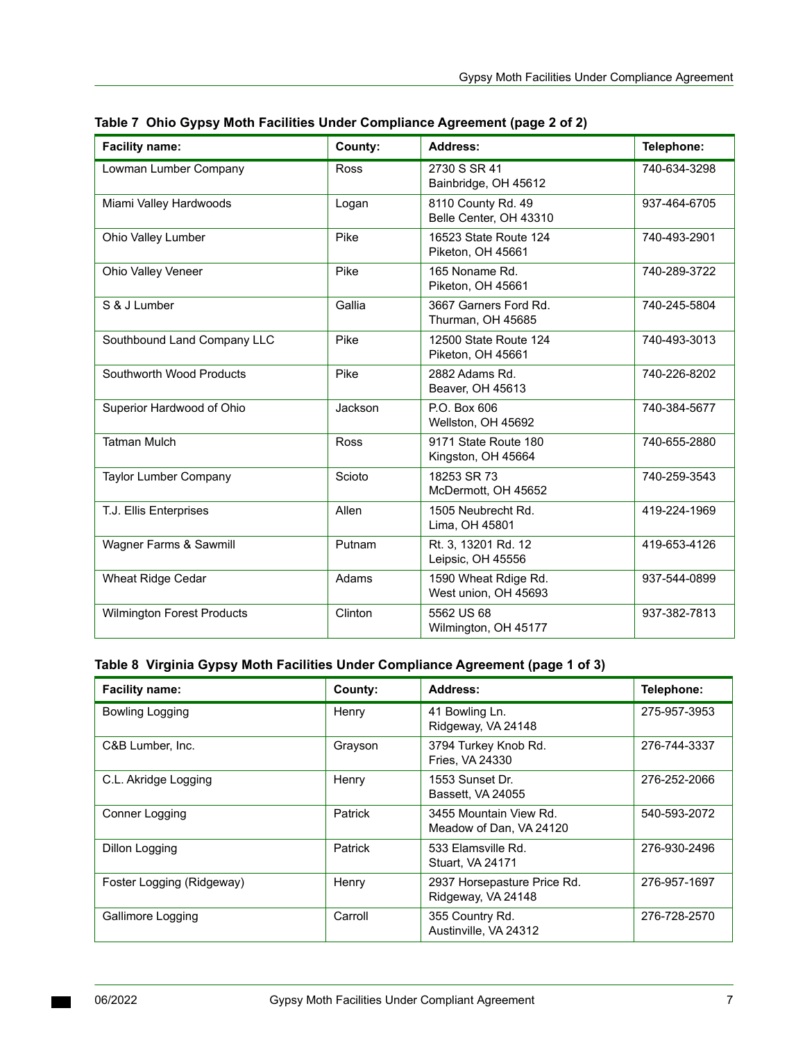| <b>Facility name:</b>        | County:     | Address:                                     | Telephone:   |
|------------------------------|-------------|----------------------------------------------|--------------|
| Lowman Lumber Company        | <b>Ross</b> | 2730 S SR 41<br>Bainbridge, OH 45612         | 740-634-3298 |
| Miami Valley Hardwoods       | Logan       | 8110 County Rd. 49<br>Belle Center, OH 43310 | 937-464-6705 |
| Ohio Valley Lumber           | Pike        | 16523 State Route 124<br>Piketon, OH 45661   | 740-493-2901 |
| Ohio Valley Veneer           | Pike        | 165 Noname Rd.<br>Piketon, OH 45661          | 740-289-3722 |
| S & J Lumber                 | Gallia      | 3667 Garners Ford Rd.<br>Thurman, OH 45685   | 740-245-5804 |
| Southbound Land Company LLC  | Pike        | 12500 State Route 124<br>Piketon, OH 45661   | 740-493-3013 |
| Southworth Wood Products     | Pike        | 2882 Adams Rd.<br>Beaver, OH 45613           | 740-226-8202 |
| Superior Hardwood of Ohio    | Jackson     | P.O. Box 606<br>Wellston, OH 45692           | 740-384-5677 |
| <b>Tatman Mulch</b>          | <b>Ross</b> | 9171 State Route 180<br>Kingston, OH 45664   | 740-655-2880 |
| <b>Taylor Lumber Company</b> | Scioto      | 18253 SR 73<br>McDermott, OH 45652           | 740-259-3543 |
| T.J. Ellis Enterprises       | Allen       | 1505 Neubrecht Rd.<br>Lima, OH 45801         | 419-224-1969 |
| Wagner Farms & Sawmill       | Putnam      | Rt. 3, 13201 Rd. 12<br>Leipsic, OH 45556     | 419-653-4126 |
| Wheat Ridge Cedar            | Adams       | 1590 Wheat Rdige Rd.<br>West union, OH 45693 | 937-544-0899 |
| Wilmington Forest Products   | Clinton     | 5562 US 68<br>Wilmington, OH 45177           | 937-382-7813 |

|  | Table 7 Ohio Gypsy Moth Facilities Under Compliance Agreement (page 2 of 2) |  |
|--|-----------------------------------------------------------------------------|--|
|  |                                                                             |  |

## <span id="page-6-0"></span> **Table 8 Virginia Gypsy Moth Facilities Under Compliance Agreement (page 1 of 3)**

| <b>Facility name:</b>     | County: | Address:                                          | Telephone:   |
|---------------------------|---------|---------------------------------------------------|--------------|
| Bowling Logging           | Henry   | 41 Bowling Ln.<br>Ridgeway, VA 24148              | 275-957-3953 |
| C&B Lumber, Inc.          | Grayson | 3794 Turkey Knob Rd.<br>Fries, VA 24330           | 276-744-3337 |
| C.L. Akridge Logging      | Henry   | 1553 Sunset Dr.<br>Bassett, VA 24055              | 276-252-2066 |
| Conner Logging            | Patrick | 3455 Mountain View Rd.<br>Meadow of Dan, VA 24120 | 540-593-2072 |
| Dillon Logging            | Patrick | 533 Elamsville Rd.<br><b>Stuart, VA 24171</b>     | 276-930-2496 |
| Foster Logging (Ridgeway) | Henry   | 2937 Horsepasture Price Rd.<br>Ridgeway, VA 24148 | 276-957-1697 |
| Gallimore Logging         | Carroll | 355 Country Rd.<br>Austinville, VA 24312          | 276-728-2570 |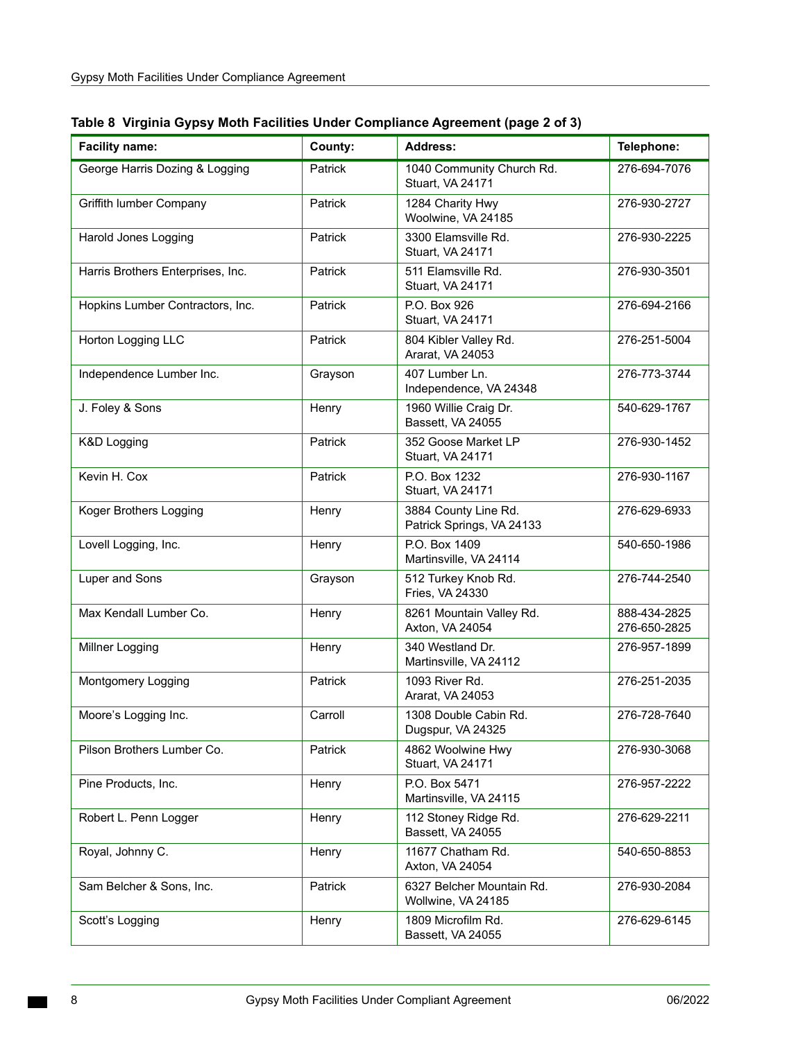| <b>Facility name:</b>             | County: | <b>Address:</b>                                   | Telephone:                   |
|-----------------------------------|---------|---------------------------------------------------|------------------------------|
| George Harris Dozing & Logging    | Patrick | 1040 Community Church Rd.<br>Stuart, VA 24171     | 276-694-7076                 |
| Griffith lumber Company           | Patrick | 1284 Charity Hwy<br>Woolwine, VA 24185            | 276-930-2727                 |
| Harold Jones Logging              | Patrick | 3300 Elamsville Rd.<br>Stuart, VA 24171           | 276-930-2225                 |
| Harris Brothers Enterprises, Inc. | Patrick | 511 Elamsville Rd.<br>Stuart, VA 24171            | 276-930-3501                 |
| Hopkins Lumber Contractors, Inc.  | Patrick | P.O. Box 926<br>Stuart, VA 24171                  | 276-694-2166                 |
| Horton Logging LLC                | Patrick | 804 Kibler Valley Rd.<br>Ararat, VA 24053         | 276-251-5004                 |
| Independence Lumber Inc.          | Grayson | 407 Lumber Ln.<br>Independence, VA 24348          | 276-773-3744                 |
| J. Foley & Sons                   | Henry   | 1960 Willie Craig Dr.<br>Bassett, VA 24055        | 540-629-1767                 |
| K&D Logging                       | Patrick | 352 Goose Market LP<br>Stuart, VA 24171           | 276-930-1452                 |
| Kevin H. Cox                      | Patrick | P.O. Box 1232<br>Stuart, VA 24171                 | 276-930-1167                 |
| Koger Brothers Logging            | Henry   | 3884 County Line Rd.<br>Patrick Springs, VA 24133 | 276-629-6933                 |
| Lovell Logging, Inc.              | Henry   | P.O. Box 1409<br>Martinsville, VA 24114           | 540-650-1986                 |
| Luper and Sons                    | Grayson | 512 Turkey Knob Rd.<br>Fries, VA 24330            | 276-744-2540                 |
| Max Kendall Lumber Co.            | Henry   | 8261 Mountain Valley Rd.<br>Axton, VA 24054       | 888-434-2825<br>276-650-2825 |
| Millner Logging                   | Henry   | 340 Westland Dr.<br>Martinsville, VA 24112        | 276-957-1899                 |
| Montgomery Logging                | Patrick | 1093 River Rd.<br>Ararat, VA 24053                | 276-251-2035                 |
| Moore's Logging Inc.              | Carroll | 1308 Double Cabin Rd.<br>Dugspur, VA 24325        | 276-728-7640                 |
| Pilson Brothers Lumber Co.        | Patrick | 4862 Woolwine Hwy<br>Stuart, VA 24171             | 276-930-3068                 |
| Pine Products, Inc.               | Henry   | P.O. Box 5471<br>Martinsville, VA 24115           | 276-957-2222                 |
| Robert L. Penn Logger             | Henry   | 112 Stoney Ridge Rd.<br>Bassett, VA 24055         | 276-629-2211                 |
| Royal, Johnny C.                  | Henry   | 11677 Chatham Rd.<br>Axton, VA 24054              | 540-650-8853                 |
| Sam Belcher & Sons, Inc.          | Patrick | 6327 Belcher Mountain Rd.<br>Wollwine, VA 24185   | 276-930-2084                 |
| Scott's Logging                   | Henry   | 1809 Microfilm Rd.<br>Bassett, VA 24055           | 276-629-6145                 |

 **Table 8 Virginia Gypsy Moth Facilities Under Compliance Agreement (page 2 of 3)**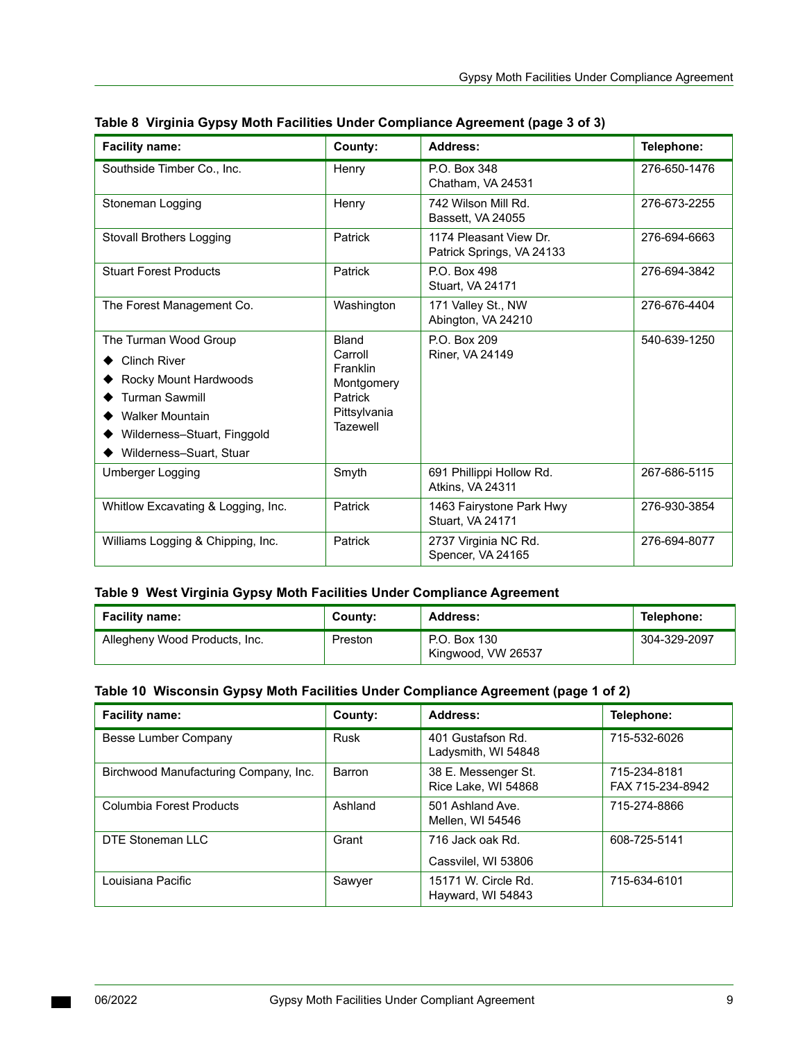| <b>Facility name:</b>                                                                                                                                                              | County:                                                                                         | Address:                                            | Telephone:   |
|------------------------------------------------------------------------------------------------------------------------------------------------------------------------------------|-------------------------------------------------------------------------------------------------|-----------------------------------------------------|--------------|
| Southside Timber Co., Inc.                                                                                                                                                         | Henry                                                                                           | P.O. Box 348<br>Chatham, VA 24531                   | 276-650-1476 |
| Stoneman Logging                                                                                                                                                                   | Henry                                                                                           | 742 Wilson Mill Rd.<br>Bassett. VA 24055            | 276-673-2255 |
| Stovall Brothers Logging                                                                                                                                                           | Patrick                                                                                         | 1174 Pleasant View Dr.<br>Patrick Springs, VA 24133 | 276-694-6663 |
| <b>Stuart Forest Products</b>                                                                                                                                                      | Patrick                                                                                         | P.O. Box 498<br>Stuart, VA 24171                    | 276-694-3842 |
| The Forest Management Co.                                                                                                                                                          | Washington                                                                                      | 171 Valley St., NW<br>Abington, VA 24210            | 276-676-4404 |
| The Turman Wood Group<br><b>Clinch River</b><br>Rocky Mount Hardwoods<br><b>Turman Sawmill</b><br><b>Walker Mountain</b><br>Wilderness-Stuart, Finggold<br>Wilderness-Suart, Stuar | <b>Bland</b><br>Carroll<br>Franklin<br>Montgomery<br>Patrick<br>Pittsylvania<br><b>Tazewell</b> | P.O. Box 209<br>Riner, VA 24149                     | 540-639-1250 |
| <b>Umberger Logging</b>                                                                                                                                                            | Smyth                                                                                           | 691 Phillippi Hollow Rd.<br>Atkins, VA 24311        | 267-686-5115 |
| Whitlow Excavating & Logging, Inc.                                                                                                                                                 | Patrick                                                                                         | 1463 Fairystone Park Hwy<br><b>Stuart. VA 24171</b> | 276-930-3854 |
| Williams Logging & Chipping, Inc.                                                                                                                                                  | Patrick                                                                                         | 2737 Virginia NC Rd.<br>Spencer, VA 24165           | 276-694-8077 |

|  | Table 8  Virginia Gypsy Moth Facilities Under Compliance Agreement (page 3 of 3) |  |  |  |
|--|----------------------------------------------------------------------------------|--|--|--|
|--|----------------------------------------------------------------------------------|--|--|--|

## <span id="page-8-0"></span>**Table 9 West Virginia Gypsy Moth Facilities Under Compliance Agreement**

| <b>Facility name:</b>         | County: | <b>Address:</b>                    | Telephone:   |
|-------------------------------|---------|------------------------------------|--------------|
| Allegheny Wood Products, Inc. | Preston | P.O. Box 130<br>Kingwood, VW 26537 | 304-329-2097 |

#### <span id="page-8-1"></span> **Table 10 Wisconsin Gypsy Moth Facilities Under Compliance Agreement (page 1 of 2)**

| <b>Facility name:</b>                 | County: | Address:                                   | Telephone:                       |
|---------------------------------------|---------|--------------------------------------------|----------------------------------|
| Besse Lumber Company                  | Rusk    | 401 Gustafson Rd.<br>Ladysmith, WI 54848   | 715-532-6026                     |
| Birchwood Manufacturing Company, Inc. | Barron  | 38 E. Messenger St.<br>Rice Lake, WI 54868 | 715-234-8181<br>FAX 715-234-8942 |
| Columbia Forest Products              | Ashland | 501 Ashland Ave<br>Mellen, WI 54546        | 715-274-8866                     |
| DTE Stoneman LLC                      | Grant   | 716 Jack oak Rd.                           | 608-725-5141                     |
|                                       |         | Cassvilel, WI 53806                        |                                  |
| Louisiana Pacific                     | Sawyer  | 15171 W. Circle Rd.<br>Hayward, WI 54843   | 715-634-6101                     |